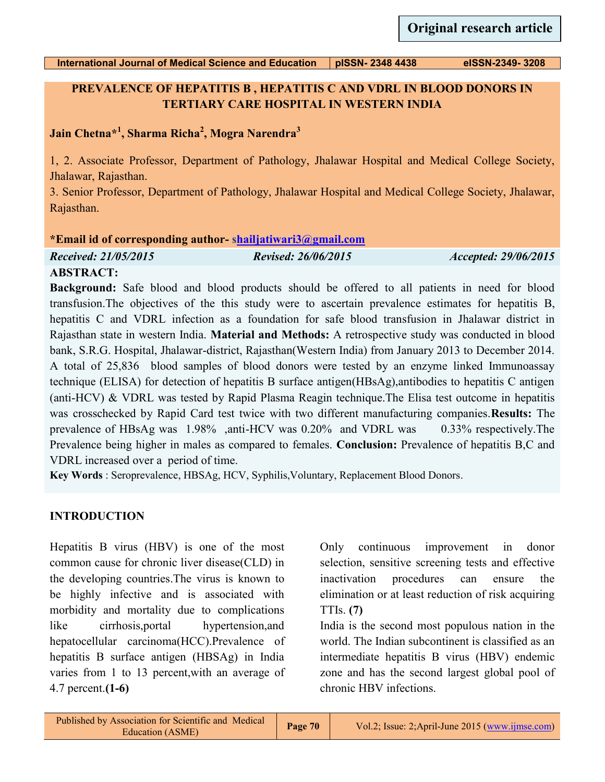## **PREVALENCE OF HEPATITIS B , HEPATITIS C AND VDRL IN BLOOD DONORS IN TERTIARY CARE HOSPITAL IN WESTERN INDIA**

## **Jain Chetna\*<sup>1</sup> , Sharma Richa<sup>2</sup> , Mogra Narendra<sup>3</sup>**

1, 2. Associate Professor, Department of Pathology, Jhalawar Hospital and Medical College Society, Jhalawar, Rajasthan.

3. Senior Professor, Department of Pathology, Jhalawar Hospital and Medical College Society, Jhalawar, Rajasthan.

## **\*Email id of corresponding author- [shailjatiwari3@gmail.com](mailto:hailjatiwari3@gmail.com)**

*Received: 21/05/2015 Revised: 26/06/2015 Accepted: 29/06/2015* **ABSTRACT:**

**Background:** Safe blood and blood products should be offered to all patients in need for blood transfusion.The objectives of the this study were to ascertain prevalence estimates for hepatitis B, hepatitis C and VDRL infection as a foundation for safe blood transfusion in Jhalawar district in Rajasthan state in western India. **Material and Methods:** A retrospective study was conducted in blood bank, S.R.G. Hospital, Jhalawar-district, Rajasthan(Western India) from January 2013 to December 2014. A total of 25,836 blood samples of blood donors were tested by an enzyme linked Immunoassay technique (ELISA) for detection of hepatitis B surface antigen(HBsAg),antibodies to hepatitis C antigen (anti-HCV) & VDRL was tested by Rapid Plasma Reagin technique.The Elisa test outcome in hepatitis was crosschecked by Rapid Card test twice with two different manufacturing companies.**Results:** The prevalence of HBsAg was 1.98% ,anti-HCV was 0.20% and VDRL was 0.33% respectively.The Prevalence being higher in males as compared to females. **Conclusion:** Prevalence of hepatitis B,C and VDRL increased over a period of time.

**Key Words** : Seroprevalence, HBSAg, HCV, Syphilis,Voluntary, Replacement Blood Donors.

## **INTRODUCTION**

Hepatitis B virus (HBV) is one of the most common cause for chronic liver disease(CLD) in the developing countries.The virus is known to be highly infective and is associated with morbidity and mortality due to complications like cirrhosis,portal hypertension,and hepatocellular carcinoma(HCC).Prevalence of hepatitis B surface antigen (HBSAg) in India varies from 1 to 13 percent,with an average of 4.7 percent.**(1-6)**

Only continuous improvement in donor selection, sensitive screening tests and effective inactivation procedures can ensure the elimination or at least reduction of risk acquiring TTIs. **(7)**

India is the second most populous nation in the world. The Indian subcontinent is classified as an intermediate hepatitis B virus (HBV) endemic zone and has the second largest global pool of chronic HBV infections.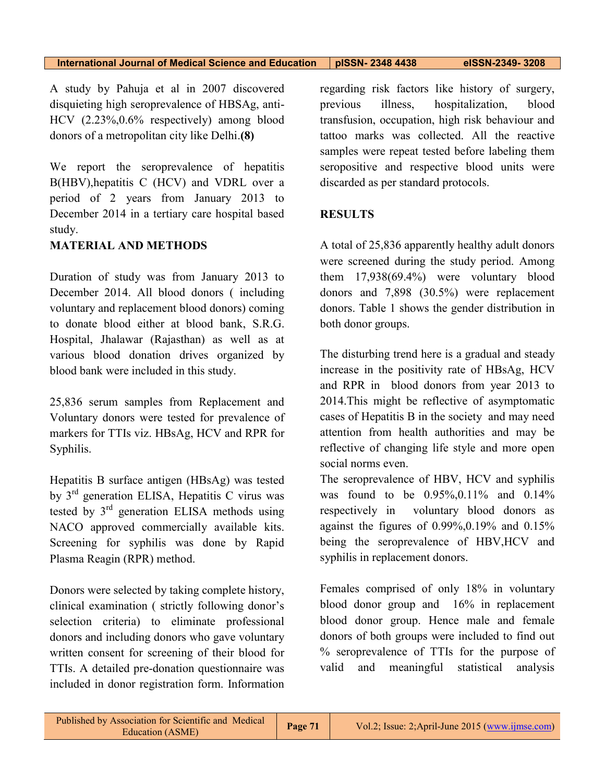A study by Pahuja et al in 2007 discovered disquieting high seroprevalence of HBSAg, anti-HCV (2.23%,0.6% respectively) among blood donors of a metropolitan city like Delhi.**(8)**

We report the seroprevalence of hepatitis B(HBV),hepatitis C (HCV) and VDRL over a period of 2 years from January 2013 to December 2014 in a tertiary care hospital based study.

## **MATERIAL AND METHODS**

Duration of study was from January 2013 to December 2014. All blood donors ( including voluntary and replacement blood donors) coming to donate blood either at blood bank, S.R.G. Hospital, Jhalawar (Rajasthan) as well as at various blood donation drives organized by blood bank were included in this study.

25,836 serum samples from Replacement and Voluntary donors were tested for prevalence of markers for TTIs viz. HBsAg, HCV and RPR for Syphilis.

Hepatitis B surface antigen (HBsAg) was tested by 3rd generation ELISA, Hepatitis C virus was tested by 3rd generation ELISA methods using NACO approved commercially available kits. Screening for syphilis was done by Rapid Plasma Reagin (RPR) method.

Donors were selected by taking complete history, clinical examination ( strictly following donor's selection criteria) to eliminate professional donors and including donors who gave voluntary written consent for screening of their blood for TTIs. A detailed pre-donation questionnaire was included in donor registration form. Information regarding risk factors like history of surgery, previous illness, hospitalization, blood transfusion, occupation, high risk behaviour and tattoo marks was collected. All the reactive samples were repeat tested before labeling them seropositive and respective blood units were discarded as per standard protocols.

## **RESULTS**

A total of 25,836 apparently healthy adult donors were screened during the study period. Among them 17,938(69.4%) were voluntary blood donors and 7,898 (30.5%) were replacement donors. Table 1 shows the gender distribution in both donor groups.

The disturbing trend here is a gradual and steady increase in the positivity rate of HBsAg, HCV and RPR in blood donors from year 2013 to 2014.This might be reflective of asymptomatic cases of Hepatitis B in the society and may need attention from health authorities and may be reflective of changing life style and more open social norms even.

The seroprevalence of HBV, HCV and syphilis was found to be 0.95%,0.11% and 0.14% respectively in voluntary blood donors as against the figures of 0.99%,0.19% and 0.15% being the seroprevalence of HBV,HCV and syphilis in replacement donors.

Females comprised of only 18% in voluntary blood donor group and 16% in replacement blood donor group. Hence male and female donors of both groups were included to find out % seroprevalence of TTIs for the purpose of valid and meaningful statistical analysis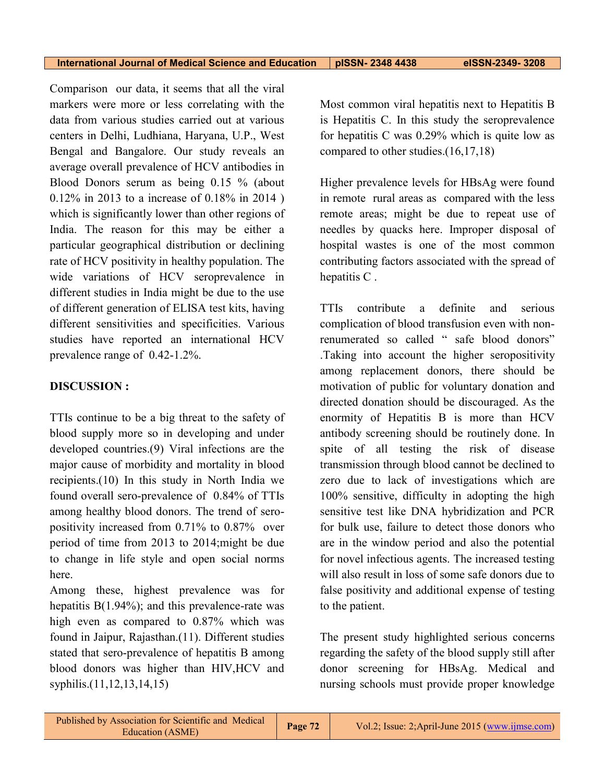Comparison our data, it seems that all the viral markers were more or less correlating with the data from various studies carried out at various centers in Delhi, Ludhiana, Haryana, U.P., West Bengal and Bangalore. Our study reveals an average overall prevalence of HCV antibodies in Blood Donors serum as being 0.15 % (about 0.12% in 2013 to a increase of 0.18% in 2014 ) which is significantly lower than other regions of India. The reason for this may be either a particular geographical distribution or declining rate of HCV positivity in healthy population. The wide variations of HCV seroprevalence in different studies in India might be due to the use of different generation of ELISA test kits, having different sensitivities and specificities. Various studies have reported an international HCV prevalence range of 0.42-1.2%.

## **DISCUSSION :**

TTIs continue to be a big threat to the safety of blood supply more so in developing and under developed countries.(9) Viral infections are the major cause of morbidity and mortality in blood recipients.(10) In this study in North India we found overall sero-prevalence of 0.84% of TTIs among healthy blood donors. The trend of seropositivity increased from 0.71% to 0.87% over period of time from 2013 to 2014;might be due to change in life style and open social norms here.

Among these, highest prevalence was for hepatitis  $B(1.94\%)$ ; and this prevalence-rate was high even as compared to 0.87% which was found in Jaipur, Rajasthan.(11). Different studies stated that sero-prevalence of hepatitis B among blood donors was higher than HIV,HCV and syphilis.(11,12,13,14,15)

Most common viral hepatitis next to Hepatitis B is Hepatitis C. In this study the seroprevalence for hepatitis C was 0.29% which is quite low as compared to other studies.(16,17,18)

Higher prevalence levels for HBsAg were found in remote rural areas as compared with the less remote areas; might be due to repeat use of needles by quacks here. Improper disposal of hospital wastes is one of the most common contributing factors associated with the spread of hepatitis C .

TTIs contribute a definite and serious complication of blood transfusion even with nonrenumerated so called " safe blood donors" .Taking into account the higher seropositivity among replacement donors, there should be motivation of public for voluntary donation and directed donation should be discouraged. As the enormity of Hepatitis B is more than HCV antibody screening should be routinely done. In spite of all testing the risk of disease transmission through blood cannot be declined to zero due to lack of investigations which are 100% sensitive, difficulty in adopting the high sensitive test like DNA hybridization and PCR for bulk use, failure to detect those donors who are in the window period and also the potential for novel infectious agents. The increased testing will also result in loss of some safe donors due to false positivity and additional expense of testing to the patient.

The present study highlighted serious concerns regarding the safety of the blood supply still after donor screening for HBsAg. Medical and nursing schools must provide proper knowledge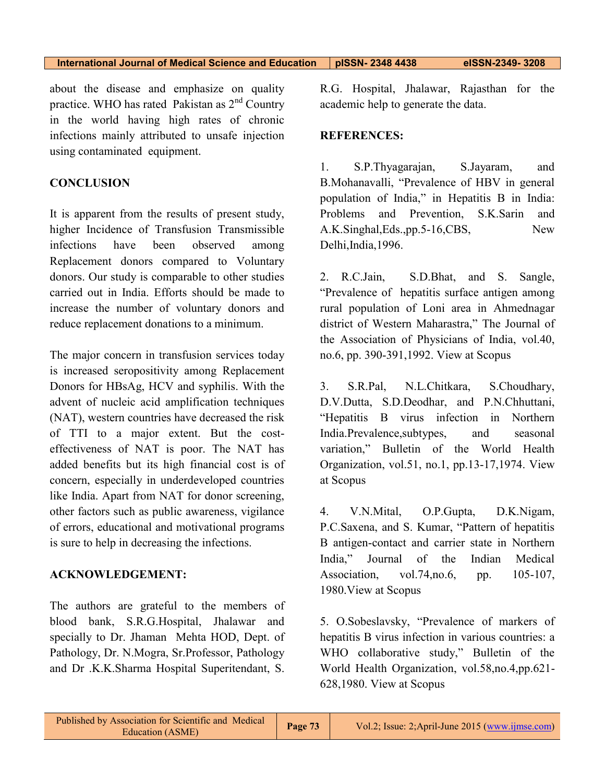about the disease and emphasize on quality practice. WHO has rated Pakistan as  $2<sup>nd</sup>$  Country in the world having high rates of chronic infections mainly attributed to unsafe injection using contaminated equipment.

## **CONCLUSION**

It is apparent from the results of present study, higher Incidence of Transfusion Transmissible infections have been observed among Replacement donors compared to Voluntary donors. Our study is comparable to other studies carried out in India. Efforts should be made to increase the number of voluntary donors and reduce replacement donations to a minimum.

The major concern in transfusion services today is increased seropositivity among Replacement Donors for HBsAg, HCV and syphilis. With the advent of nucleic acid amplification techniques (NAT), western countries have decreased the risk of TTI to a major extent. But the costeffectiveness of NAT is poor. The NAT has added benefits but its high financial cost is of concern, especially in underdeveloped countries like India. Apart from NAT for donor screening, other factors such as public awareness, vigilance of errors, educational and motivational programs is sure to help in decreasing the infections.

## **ACKNOWLEDGEMENT:**

The authors are grateful to the members of blood bank, S.R.G.Hospital, Jhalawar and specially to Dr. Jhaman Mehta HOD, Dept. of Pathology, Dr. N.Mogra, Sr.Professor, Pathology and Dr .K.K.Sharma Hospital Superitendant, S.

R.G. Hospital, Jhalawar, Rajasthan for the academic help to generate the data.

## **REFERENCES:**

1. S.P.Thyagarajan, S.Jayaram, and B.Mohanavalli, "Prevalence of HBV in general population of India," in Hepatitis B in India: Problems and Prevention, S.K. Sarin and A.K.Singhal,Eds.,pp.5-16,CBS, New Delhi,India,1996.

2. R.C.Jain, S.D.Bhat, and S. Sangle, "Prevalence of hepatitis surface antigen among rural population of Loni area in Ahmednagar district of Western Maharastra," The Journal of the Association of Physicians of India, vol.40, no.6, pp. 390-391,1992. View at Scopus

3. S.R.Pal, N.L.Chitkara, S.Choudhary, D.V.Dutta, S.D.Deodhar, and P.N.Chhuttani, "Hepatitis B virus infection in Northern India.Prevalence,subtypes, and seasonal variation," Bulletin of the World Health Organization, vol.51, no.1, pp.13-17,1974. View at Scopus

4. V.N.Mital, O.P.Gupta, D.K.Nigam, P.C.Saxena, and S. Kumar, "Pattern of hepatitis B antigen-contact and carrier state in Northern India," Journal of the Indian Medical Association, vol.74,no.6, pp. 105-107, 1980.View at Scopus

5. O.Sobeslavsky, "Prevalence of markers of hepatitis B virus infection in various countries: a WHO collaborative study," Bulletin of the World Health Organization, vol.58,no.4,pp.621- 628,1980. View at Scopus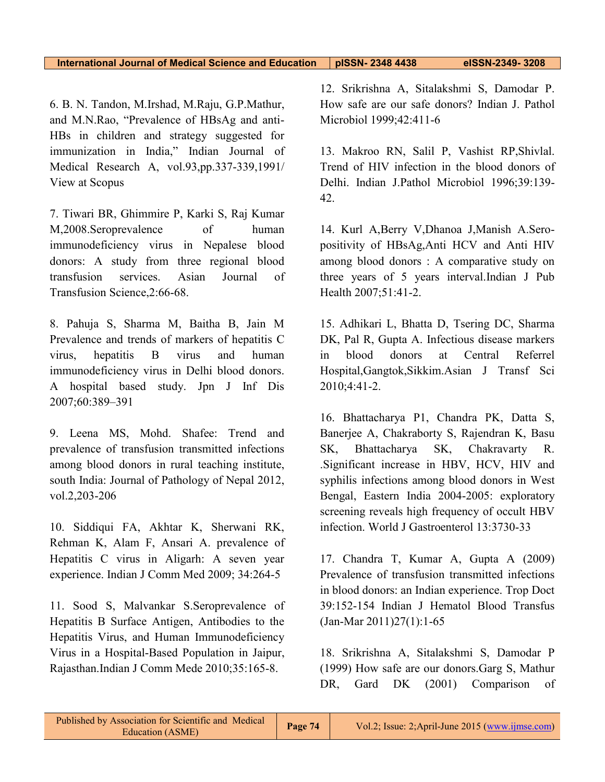6. B. N. Tandon, M.Irshad, M.Raju, G.P.Mathur, and M.N.Rao, "Prevalence of HBsAg and anti-HBs in children and strategy suggested for immunization in India," Indian Journal of Medical Research A, vol.93,pp.337-339,1991/ View at Scopus

7. Tiwari BR, Ghimmire P, Karki S, Raj Kumar M,2008.Seroprevalence of human immunodeficiency virus in Nepalese blood donors: A study from three regional blood transfusion services. Asian Journal of Transfusion Science,2:66-68.

8. Pahuja S, Sharma M, Baitha B, Jain M Prevalence and trends of markers of hepatitis C virus, hepatitis B virus and human immunodeficiency virus in Delhi blood donors. A hospital based study. Jpn J Inf Dis 2007;60:389–391

9. Leena MS, Mohd. Shafee: Trend and prevalence of transfusion transmitted infections among blood donors in rural teaching institute, south India: Journal of Pathology of Nepal 2012, vol.2,203-206

10. Siddiqui FA, Akhtar K, Sherwani RK, Rehman K, Alam F, Ansari A. prevalence of Hepatitis C virus in Aligarh: A seven year experience. Indian J Comm Med 2009; 34:264-5

11. Sood S, Malvankar S.Seroprevalence of Hepatitis B Surface Antigen, Antibodies to the Hepatitis Virus, and Human Immunodeficiency Virus in a Hospital-Based Population in Jaipur, Rajasthan.Indian J Comm Mede 2010;35:165-8.

12. Srikrishna A, Sitalakshmi S, Damodar P. How safe are our safe donors? Indian J. Pathol Microbiol 1999;42:411-6

13. Makroo RN, Salil P, Vashist RP,Shivlal. Trend of HIV infection in the blood donors of Delhi. Indian J.Pathol Microbiol 1996;39:139- 42.

14. Kurl A,Berry V,Dhanoa J,Manish A.Seropositivity of HBsAg,Anti HCV and Anti HIV among blood donors : A comparative study on three years of 5 years interval.Indian J Pub Health 2007;51:41-2.

15. Adhikari L, Bhatta D, Tsering DC, Sharma DK, Pal R, Gupta A. Infectious disease markers in blood donors at Central Referrel Hospital,Gangtok,Sikkim.Asian J Transf Sci 2010;4:41-2.

16. Bhattacharya P1, Chandra PK, Datta S, Banerjee A, Chakraborty S, Rajendran K, Basu SK, Bhattacharya SK, Chakravarty R. .Significant increase in HBV, HCV, HIV and syphilis infections among blood donors in West Bengal, Eastern India 2004-2005: exploratory screening reveals high frequency of occult HBV infection. World J Gastroenterol 13:3730-33

17. Chandra T, Kumar A, Gupta A (2009) Prevalence of transfusion transmitted infections in blood donors: an Indian experience. Trop Doct 39:152-154 Indian J Hematol Blood Transfus (Jan-Mar 2011)27(1):1-65

18. Srikrishna A, Sitalakshmi S, Damodar P (1999) How safe are our donors.Garg S, Mathur DR, Gard DK (2001) Comparison of

| Published by Association for Scientific and Medical<br>Education (ASME) | Page 74 | Vol.2; Issue: 2; April-June 2015 (www.ijmse.com) |
|-------------------------------------------------------------------------|---------|--------------------------------------------------|
|-------------------------------------------------------------------------|---------|--------------------------------------------------|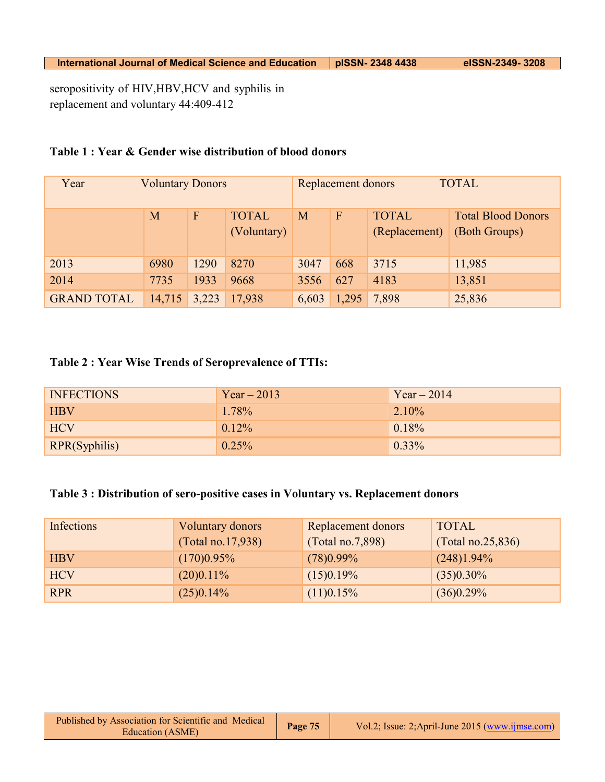seropositivity of HIV,HBV,HCV and syphilis in replacement and voluntary 44:409-412

## **Table 1 : Year & Gender wise distribution of blood donors**

| Year               | <b>Voluntary Donors</b> |                |                             | <b>TOTAL</b><br>Replacement donors |                |                               |                                            |
|--------------------|-------------------------|----------------|-----------------------------|------------------------------------|----------------|-------------------------------|--------------------------------------------|
|                    | M                       | $\overline{F}$ | <b>TOTAL</b><br>(Voluntary) | M                                  | $\overline{F}$ | <b>TOTAL</b><br>(Replacement) | <b>Total Blood Donors</b><br>(Both Groups) |
| 2013               | 6980                    | 1290           | 8270                        | 3047                               | 668            | 3715                          | 11,985                                     |
| 2014               | 7735                    | 1933           | 9668                        | 3556                               | 627            | 4183                          | 13,851                                     |
| <b>GRAND TOTAL</b> | 14,715                  | 3,223          | 17,938                      | 6,603                              | 1,295          | 7,898                         | 25,836                                     |

## **Table 2 : Year Wise Trends of Seroprevalence of TTIs:**

| <b>INFECTIONS</b> | $Year - 2013$ | Year $-2014$ |
|-------------------|---------------|--------------|
| <b>HBV</b>        | 1.78%         | $2.10\%$     |
| <b>HCV</b>        | 0.12%         | 0.18%        |
| RPR(Syphilis)     | 0.25%         | $0.33\%$     |

## **Table 3 : Distribution of sero-positive cases in Voluntary vs. Replacement donors**

| <b>Infections</b> | Voluntary donors  | Replacement donors | <b>TOTAL</b>       |
|-------------------|-------------------|--------------------|--------------------|
|                   | (Total no.17,938) | (Total no.7,898)   | (Total no.25, 836) |
| <b>HBV</b>        | $(170)0.95\%$     | $(78)0.99\%$       | $(248)1.94\%$      |
| <b>HCV</b>        | $(20)0.11\%$      | (15)0.19%          | $(35)0.30\%$       |
| <b>RPR</b>        | (25)0.14%         | (11)0.15%          | (36)0.29%          |